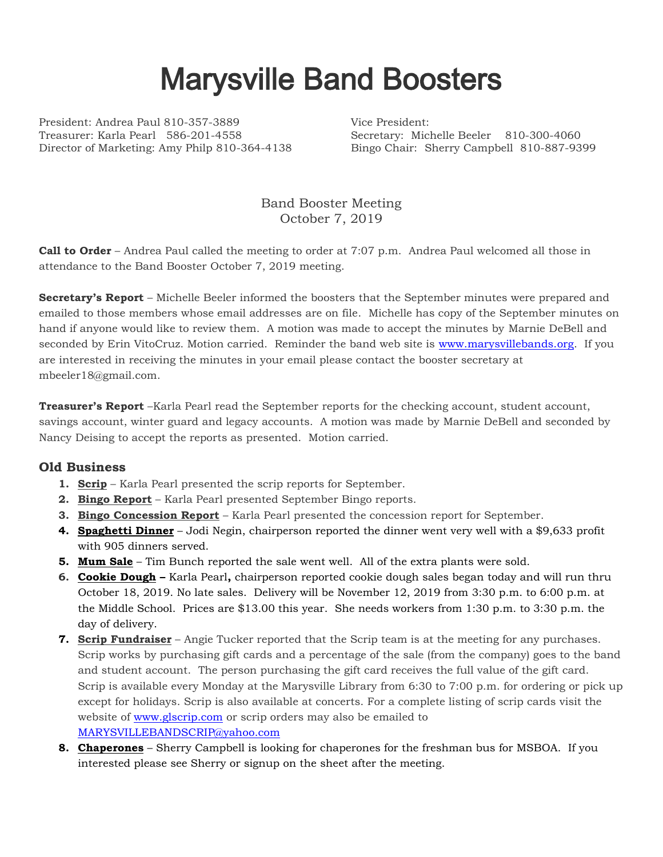## Marysville Band Boosters

President: Andrea Paul 810-357-3889 Vice President: Treasurer: Karla Pearl 586-201-4558 Secretary: Michelle Beeler 810-300-4060 Director of Marketing: Amy Philp 810-364-4138 Bingo Chair: Sherry Campbell 810-887-9399

Band Booster Meeting October 7, 2019

**Call to Order** – Andrea Paul called the meeting to order at 7:07 p.m. Andrea Paul welcomed all those in attendance to the Band Booster October 7, 2019 meeting.

**Secretary's Report** – Michelle Beeler informed the boosters that the September minutes were prepared and emailed to those members whose email addresses are on file. Michelle has copy of the September minutes on hand if anyone would like to review them. A motion was made to accept the minutes by Marnie DeBell and seconded by Erin VitoCruz. Motion carried. Reminder the band web site is [www.marysvillebands.org.](http://www.marysvillebands.org/) If you are interested in receiving the minutes in your email please contact the booster secretary at mbeeler18@gmail.com.

**Treasurer's Report** –Karla Pearl read the September reports for the checking account, student account, savings account, winter guard and legacy accounts. A motion was made by Marnie DeBell and seconded by Nancy Deising to accept the reports as presented. Motion carried.

## **Old Business**

- **1. Scrip** Karla Pearl presented the scrip reports for September.
- **2. Bingo Report** Karla Pearl presented September Bingo reports.
- **3. Bingo Concession Report** Karla Pearl presented the concession report for September.
- **4. Spaghetti Dinner** Jodi Negin, chairperson reported the dinner went very well with a \$9,633 profit with 905 dinners served.
- **5. Mum Sale** Tim Bunch reported the sale went well. All of the extra plants were sold.
- **6. Cookie Dough –** Karla Pearl**,** chairperson reported cookie dough sales began today and will run thru October 18, 2019. No late sales. Delivery will be November 12, 2019 from 3:30 p.m. to 6:00 p.m. at the Middle School. Prices are \$13.00 this year. She needs workers from 1:30 p.m. to 3:30 p.m. the day of delivery.
- **7. Scrip Fundraiser** Angie Tucker reported that the Scrip team is at the meeting for any purchases. Scrip works by purchasing gift cards and a percentage of the sale (from the company) goes to the band and student account. The person purchasing the gift card receives the full value of the gift card. Scrip is available every Monday at the Marysville Library from 6:30 to 7:00 p.m. for ordering or pick up except for holidays. Scrip is also available at concerts. For a complete listing of scrip cards visit the website of [www.glscrip.com](http://www.glscrip.com/) or scrip orders may also be emailed to [MARYSVILLEBANDSCRIP@yahoo.com](mailto:MARYSVILLEBANDSCRIP@yahoo.com)
- **8. Chaperones** Sherry Campbell is looking for chaperones for the freshman bus for MSBOA. If you interested please see Sherry or signup on the sheet after the meeting.